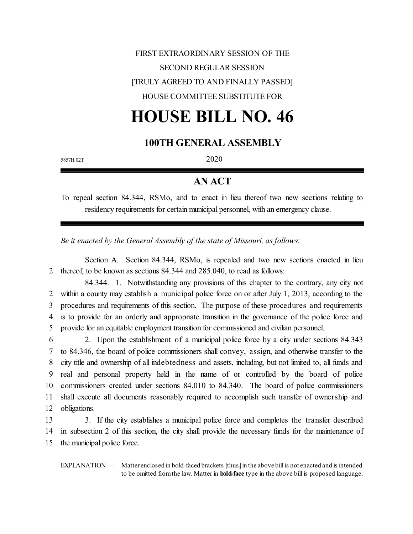## FIRST EXTRAORDINARY SESSION OF THE SECOND REGULAR SESSION [TRULY AGREED TO AND FINALLY PASSED] HOUSE COMMITTEE SUBSTITUTE FOR

# **HOUSE BILL NO. 46**

### **100TH GENERAL ASSEMBLY**

5857H.02T 2020

#### **AN ACT**

To repeal section 84.344, RSMo, and to enact in lieu thereof two new sections relating to residency requirements for certain municipal personnel, with an emergency clause.

*Be it enacted by the General Assembly of the state of Missouri, as follows:*

Section A. Section 84.344, RSMo, is repealed and two new sections enacted in lieu 2 thereof, to be known as sections 84.344 and 285.040, to read as follows:

84.344. 1. Notwithstanding any provisions of this chapter to the contrary, any city not within a county may establish a municipal police force on or after July 1, 2013, according to the procedures and requirements of this section. The purpose of these procedures and requirements is to provide for an orderly and appropriate transition in the governance of the police force and provide for an equitable employment transition for commissioned and civilian personnel.

 2. Upon the establishment of a municipal police force by a city under sections 84.343 to 84.346, the board of police commissioners shall convey, assign, and otherwise transfer to the city title and ownership of all indebtedness and assets, including, but not limited to, all funds and real and personal property held in the name of or controlled by the board of police commissioners created under sections 84.010 to 84.340. The board of police commissioners shall execute all documents reasonably required to accomplish such transfer of ownership and obligations.

13 3. If the city establishes a municipal police force and completes the transfer described 14 in subsection 2 of this section, the city shall provide the necessary funds for the maintenance of 15 the municipal police force.

EXPLANATION — Matter enclosed in bold-faced brackets [thus] in the above bill is not enacted and is intended to be omitted fromthe law. Matter in **bold-face** type in the above bill is proposed language.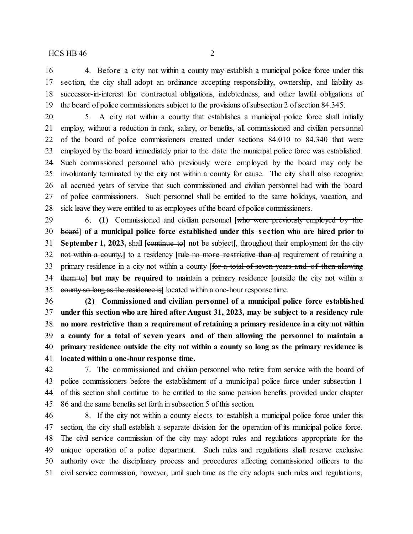#### $HCS$  HB 46 2

 4. Before a city not within a county may establish a municipal police force under this section, the city shall adopt an ordinance accepting responsibility, ownership, and liability as successor-in-interest for contractual obligations, indebtedness, and other lawful obligations of the board of police commissioners subject to the provisions of subsection 2 of section 84.345.

 5. A city not within a county that establishes a municipal police force shall initially employ, without a reduction in rank, salary, or benefits, all commissioned and civilian personnel of the board of police commissioners created under sections 84.010 to 84.340 that were employed by the board immediately prior to the date the municipal police force was established. Such commissioned personnel who previously were employed by the board may only be involuntarily terminated by the city not within a county for cause. The city shall also recognize all accrued years of service that such commissioned and civilian personnel had with the board of police commissioners. Such personnel shall be entitled to the same holidays, vacation, and sick leave they were entitled to as employees of the board of police commissioners.

 6. **(1)** Commissioned and civilian personnel **[**who were previously employed by the board**] of a municipal police force established under this se ction who are hired prior to September 1, 2023,** shall **[**continue to**] not** be subject**[**, throughout their employment for the city not within a county,**]** to a residency **[**rule no more restrictive than a**]** requirement of retaining a primary residence in a city not within a county **[**for a total of seven years and of then allowing them to**] but may be required to** maintain a primary residence **[**outside the city not within a county so long as the residence is**]** located within a one-hour response time.

 **(2) Commissioned and civilian personnel of a municipal police force established under this section who are hired after August 31, 2023, may be subject to a residency rule no more restrictive than a requirement of retaining a primary residence in a city not within a county for a total of seven years and of then allowing the personnel to maintain a primary residence outside the city not within a county so long as the primary residence is located within a one-hour response time.**

 7. The commissioned and civilian personnel who retire from service with the board of police commissioners before the establishment of a municipal police force under subsection 1 of this section shall continue to be entitled to the same pension benefits provided under chapter 86 and the same benefits set forth in subsection 5 of this section.

 8. If the city not within a county elects to establish a municipal police force under this section, the city shall establish a separate division for the operation of its municipal police force. The civil service commission of the city may adopt rules and regulations appropriate for the unique operation of a police department. Such rules and regulations shall reserve exclusive authority over the disciplinary process and procedures affecting commissioned officers to the civil service commission; however, until such time as the city adopts such rules and regulations,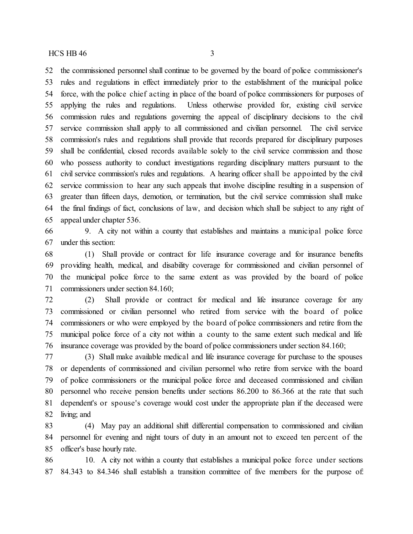the commissioned personnel shall continue to be governed by the board of police commissioner's rules and regulations in effect immediately prior to the establishment of the municipal police force, with the police chief acting in place of the board of police commissioners for purposes of applying the rules and regulations. Unless otherwise provided for, existing civil service commission rules and regulations governing the appeal of disciplinary decisions to the civil service commission shall apply to all commissioned and civilian personnel. The civil service commission's rules and regulations shall provide that records prepared for disciplinary purposes shall be confidential, closed records available solely to the civil service commission and those who possess authority to conduct investigations regarding disciplinary matters pursuant to the civil service commission's rules and regulations. A hearing officer shall be appointed by the civil service commission to hear any such appeals that involve discipline resulting in a suspension of greater than fifteen days, demotion, or termination, but the civil service commission shall make the final findings of fact, conclusions of law, and decision which shall be subject to any right of appeal under chapter 536.

 9. A city not within a county that establishes and maintains a municipal police force under this section:

 (1) Shall provide or contract for life insurance coverage and for insurance benefits providing health, medical, and disability coverage for commissioned and civilian personnel of the municipal police force to the same extent as was provided by the board of police commissioners under section 84.160;

 (2) Shall provide or contract for medical and life insurance coverage for any commissioned or civilian personnel who retired from service with the board of police commissioners or who were employed by the board of police commissioners and retire from the municipal police force of a city not within a county to the same extent such medical and life insurance coverage was provided by the board of police commissioners under section 84.160;

 (3) Shall make available medical and life insurance coverage for purchase to the spouses or dependents of commissioned and civilian personnel who retire from service with the board of police commissioners or the municipal police force and deceased commissioned and civilian personnel who receive pension benefits under sections 86.200 to 86.366 at the rate that such dependent's or spouse's coverage would cost under the appropriate plan if the deceased were living; and

 (4) May pay an additional shift differential compensation to commissioned and civilian personnel for evening and night tours of duty in an amount not to exceed ten percent of the officer's base hourly rate.

 10. A city not within a county that establishes a municipal police force under sections 84.343 to 84.346 shall establish a transition committee of five members for the purpose of: